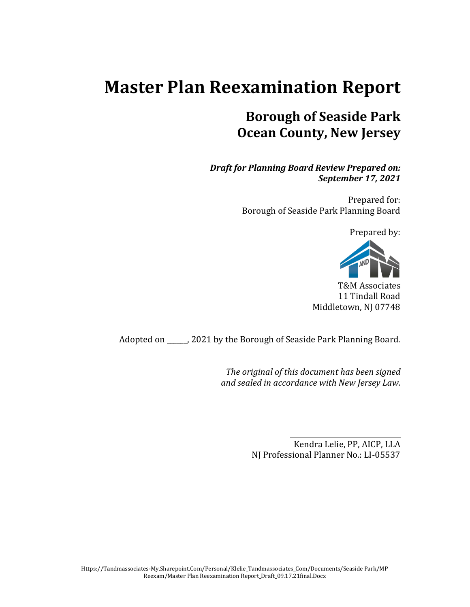# **Master Plan Reexamination Report**

# **Borough of Seaside Park Ocean County, New Jersey**

*Draft for Planning Board Review Prepared on: September 17, 2021*

> Prepared for: Borough of Seaside Park Planning Board

> > Prepared by:



T&M Associates 11 Tindall Road Middletown, NJ 07748

Adopted on \_\_\_\_\_\_, 2021 by the Borough of Seaside Park Planning Board.

*The original of this document has been signed and sealed in accordance with New Jersey Law.*

> Kendra Lelie, PP, AICP, LLA NJ Professional Planner No.: LI-05537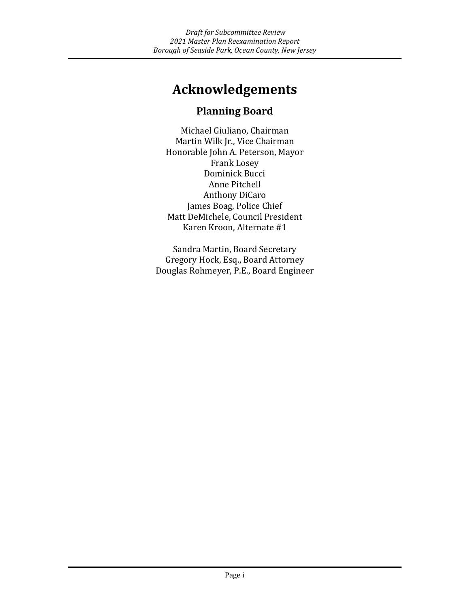# **Acknowledgements**

### **Planning Board**

Michael Giuliano, Chairman Martin Wilk Jr., Vice Chairman Honorable John A. Peterson, Mayor Frank Losey Dominick Bucci Anne Pitchell Anthony DiCaro James Boag, Police Chief Matt DeMichele, Council President Karen Kroon, Alternate #1

Sandra Martin, Board Secretary Gregory Hock, Esq., Board Attorney Douglas Rohmeyer, P.E., Board Engineer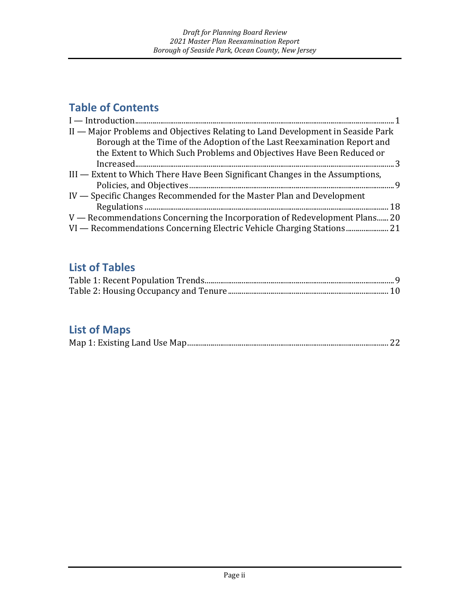# **Table of Contents**

| II - Major Problems and Objectives Relating to Land Development in Seaside Park |
|---------------------------------------------------------------------------------|
| Borough at the Time of the Adoption of the Last Reexamination Report and        |
| the Extent to Which Such Problems and Objectives Have Been Reduced or           |
| $\arctan 3$                                                                     |
| III — Extent to Which There Have Been Significant Changes in the Assumptions,   |
|                                                                                 |
| IV — Specific Changes Recommended for the Master Plan and Development           |
|                                                                                 |
| V — Recommendations Concerning the Incorporation of Redevelopment Plans 20      |
|                                                                                 |

### **List of Tables**

# **List of Maps**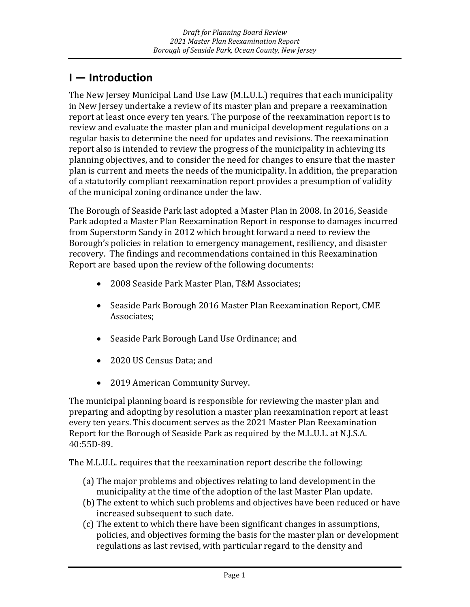# <span id="page-3-0"></span>**I — Introduction**

The New Jersey Municipal Land Use Law (M.L.U.L.) requires that each municipality in New Jersey undertake a review of its master plan and prepare a reexamination report at least once every ten years. The purpose of the reexamination report is to review and evaluate the master plan and municipal development regulations on a regular basis to determine the need for updates and revisions. The reexamination report also is intended to review the progress of the municipality in achieving its planning objectives, and to consider the need for changes to ensure that the master plan is current and meets the needs of the municipality. In addition, the preparation of a statutorily compliant reexamination report provides a presumption of validity of the municipal zoning ordinance under the law.

The Borough of Seaside Park last adopted a Master Plan in 2008. In 2016, Seaside Park adopted a Master Plan Reexamination Report in response to damages incurred from Superstorm Sandy in 2012 which brought forward a need to review the Borough's policies in relation to emergency management, resiliency, and disaster recovery. The findings and recommendations contained in this Reexamination Report are based upon the review of the following documents:

- 2008 Seaside Park Master Plan, T&M Associates;
- Seaside Park Borough 2016 Master Plan Reexamination Report, CME Associates;
- Seaside Park Borough Land Use Ordinance; and
- 2020 US Census Data; and
- 2019 American Community Survey.

The municipal planning board is responsible for reviewing the master plan and preparing and adopting by resolution a master plan reexamination report at least every ten years. This document serves as the 2021 Master Plan Reexamination Report for the Borough of Seaside Park as required by the M.L.U.L. at N.J.S.A. 40:55D-89.

The M.L.U.L. requires that the reexamination report describe the following:

- (a) The major problems and objectives relating to land development in the municipality at the time of the adoption of the last Master Plan update.
- (b) The extent to which such problems and objectives have been reduced or have increased subsequent to such date.
- (c) The extent to which there have been significant changes in assumptions, policies, and objectives forming the basis for the master plan or development regulations as last revised, with particular regard to the density and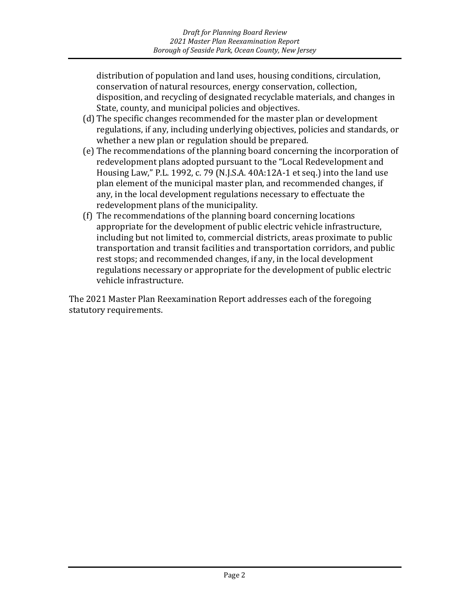distribution of population and land uses, housing conditions, circulation, conservation of natural resources, energy conservation, collection, disposition, and recycling of designated recyclable materials, and changes in State, county, and municipal policies and objectives.

- (d) The specific changes recommended for the master plan or development regulations, if any, including underlying objectives, policies and standards, or whether a new plan or regulation should be prepared.
- (e) The recommendations of the planning board concerning the incorporation of redevelopment plans adopted pursuant to the "Local Redevelopment and Housing Law," P.L. 1992, c. 79 (N.J.S.A. 40A:12A-1 et seq.) into the land use plan element of the municipal master plan, and recommended changes, if any, in the local development regulations necessary to effectuate the redevelopment plans of the municipality.
- (f) The recommendations of the planning board concerning locations appropriate for the development of public electric vehicle infrastructure, including but not limited to, commercial districts, areas proximate to public transportation and transit facilities and transportation corridors, and public rest stops; and recommended changes, if any, in the local development regulations necessary or appropriate for the development of public electric vehicle infrastructure.

The 2021 Master Plan Reexamination Report addresses each of the foregoing statutory requirements.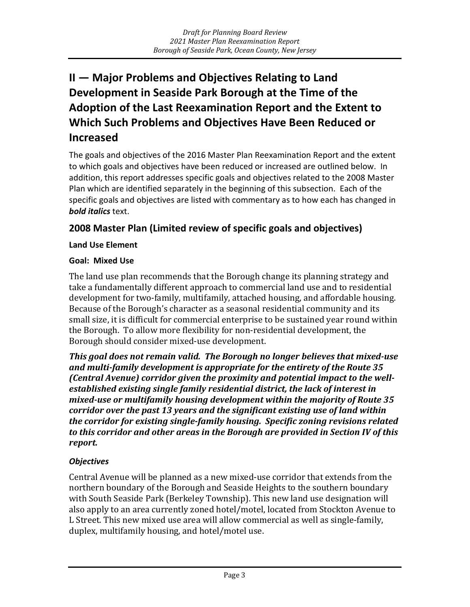# <span id="page-5-0"></span>**II — Major Problems and Objectives Relating to Land Development in Seaside Park Borough at the Time of the Adoption of the Last Reexamination Report and the Extent to Which Such Problems and Objectives Have Been Reduced or Increased**

The goals and objectives of the 2016 Master Plan Reexamination Report and the extent to which goals and objectives have been reduced or increased are outlined below. In addition, this report addresses specific goals and objectives related to the 2008 Master Plan which are identified separately in the beginning of this subsection. Each of the specific goals and objectives are listed with commentary as to how each has changed in *bold italics* text.

#### **2008 Master Plan (Limited review of specific goals and objectives)**

#### **Land Use Element**

#### **Goal: Mixed Use**

The land use plan recommends that the Borough change its planning strategy and take a fundamentally different approach to commercial land use and to residential development for two-family, multifamily, attached housing, and affordable housing. Because of the Borough's character as a seasonal residential community and its small size, it is difficult for commercial enterprise to be sustained year round within the Borough. To allow more flexibility for non-residential development, the Borough should consider mixed-use development.

*This goal does not remain valid. The Borough no longer believes that mixed-use and multi-family development is appropriate for the entirety of the Route 35 (Central Avenue) corridor given the proximity and potential impact to the wellestablished existing single family residential district, the lack of interest in mixed-use or multifamily housing development within the majority of Route 35 corridor over the past 13 years and the significant existing use of land within the corridor for existing single-family housing. Specific zoning revisions related to this corridor and other areas in the Borough are provided in Section IV of this report.*

#### *Objectives*

Central Avenue will be planned as a new mixed-use corridor that extends from the northern boundary of the Borough and Seaside Heights to the southern boundary with South Seaside Park (Berkeley Township). This new land use designation will also apply to an area currently zoned hotel/motel, located from Stockton Avenue to L Street. This new mixed use area will allow commercial as well as single-family, duplex, multifamily housing, and hotel/motel use.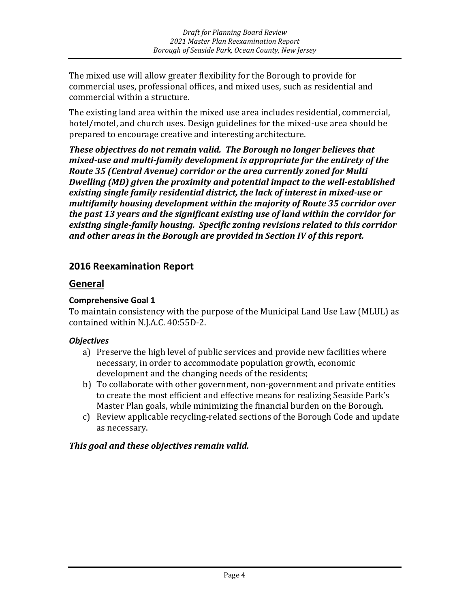The mixed use will allow greater flexibility for the Borough to provide for commercial uses, professional offices, and mixed uses, such as residential and commercial within a structure.

The existing land area within the mixed use area includes residential, commercial, hotel/motel, and church uses. Design guidelines for the mixed-use area should be prepared to encourage creative and interesting architecture.

*These objectives do not remain valid. The Borough no longer believes that mixed-use and multi-family development is appropriate for the entirety of the Route 35 (Central Avenue) corridor or the area currently zoned for Multi Dwelling (MD) given the proximity and potential impact to the well-established existing single family residential district, the lack of interest in mixed-use or multifamily housing development within the majority of Route 35 corridor over the past 13 years and the significant existing use of land within the corridor for existing single-family housing. Specific zoning revisions related to this corridor and other areas in the Borough are provided in Section IV of this report.*

#### **2016 Reexamination Report**

#### **General**

#### **Comprehensive Goal 1**

To maintain consistency with the purpose of the Municipal Land Use Law (MLUL) as contained within N.J.A.C. 40:55D-2.

#### *Objectives*

- a) Preserve the high level of public services and provide new facilities where necessary, in order to accommodate population growth, economic development and the changing needs of the residents;
- b) To collaborate with other government, non-government and private entities to create the most efficient and effective means for realizing Seaside Park's Master Plan goals, while minimizing the financial burden on the Borough.
- c) Review applicable recycling-related sections of the Borough Code and update as necessary.

#### *This goal and these objectives remain valid.*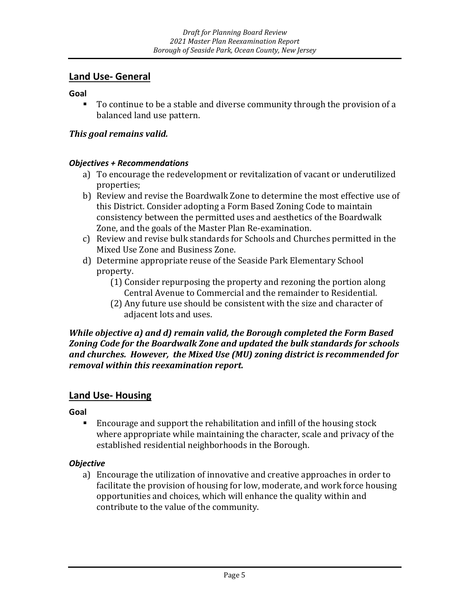#### **Land Use- General**

**Goal**

 To continue to be a stable and diverse community through the provision of a balanced land use pattern.

#### *This goal remains valid.*

#### *Objectives + Recommendations*

- a) To encourage the redevelopment or revitalization of vacant or underutilized properties;
- b) Review and revise the Boardwalk Zone to determine the most effective use of this District. Consider adopting a Form Based Zoning Code to maintain consistency between the permitted uses and aesthetics of the Boardwalk Zone, and the goals of the Master Plan Re-examination.
- c) Review and revise bulk standards for Schools and Churches permitted in the Mixed Use Zone and Business Zone.
- d) Determine appropriate reuse of the Seaside Park Elementary School property.
	- (1) Consider repurposing the property and rezoning the portion along Central Avenue to Commercial and the remainder to Residential.
	- (2) Any future use should be consistent with the size and character of adjacent lots and uses.

#### *While objective a) and d) remain valid, the Borough completed the Form Based Zoning Code for the Boardwalk Zone and updated the bulk standards for schools and churches. However, the Mixed Use (MU) zoning district is recommended for removal within this reexamination report.*

#### **Land Use- Housing**

**Goal**

 Encourage and support the rehabilitation and infill of the housing stock where appropriate while maintaining the character, scale and privacy of the established residential neighborhoods in the Borough.

#### *Objective*

a) Encourage the utilization of innovative and creative approaches in order to facilitate the provision of housing for low, moderate, and work force housing opportunities and choices, which will enhance the quality within and contribute to the value of the community.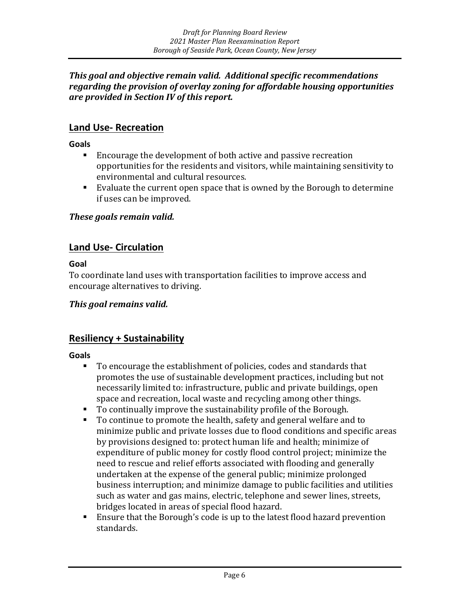#### *This goal and objective remain valid. Additional specific recommendations regarding the provision of overlay zoning for affordable housing opportunities are provided in Section IV of this report.*

#### **Land Use- Recreation**

**Goals**

- Encourage the development of both active and passive recreation opportunities for the residents and visitors, while maintaining sensitivity to environmental and cultural resources.
- Evaluate the current open space that is owned by the Borough to determine if uses can be improved.

#### *These goals remain valid.*

#### **Land Use- Circulation**

**Goal** 

To coordinate land uses with transportation facilities to improve access and encourage alternatives to driving.

#### *This goal remains valid.*

#### **Resiliency + Sustainability**

**Goals**

- To encourage the establishment of policies, codes and standards that promotes the use of sustainable development practices, including but not necessarily limited to: infrastructure, public and private buildings, open space and recreation, local waste and recycling among other things.
- To continually improve the sustainability profile of the Borough.
- To continue to promote the health, safety and general welfare and to minimize public and private losses due to flood conditions and specific areas by provisions designed to: protect human life and health; minimize of expenditure of public money for costly flood control project; minimize the need to rescue and relief efforts associated with flooding and generally undertaken at the expense of the general public; minimize prolonged business interruption; and minimize damage to public facilities and utilities such as water and gas mains, electric, telephone and sewer lines, streets, bridges located in areas of special flood hazard.
- Ensure that the Borough's code is up to the latest flood hazard prevention standards.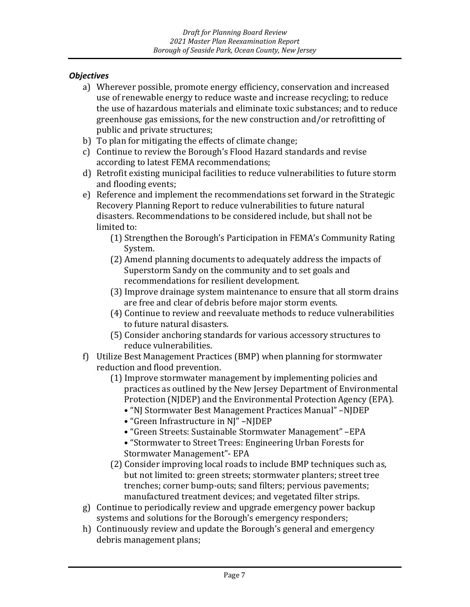#### *Objectives*

- a) Wherever possible, promote energy efficiency, conservation and increased use of renewable energy to reduce waste and increase recycling; to reduce the use of hazardous materials and eliminate toxic substances; and to reduce greenhouse gas emissions, for the new construction and/or retrofitting of public and private structures;
- b) To plan for mitigating the effects of climate change;
- c) Continue to review the Borough's Flood Hazard standards and revise according to latest FEMA recommendations;
- d) Retrofit existing municipal facilities to reduce vulnerabilities to future storm and flooding events;
- e) Reference and implement the recommendations set forward in the Strategic Recovery Planning Report to reduce vulnerabilities to future natural disasters. Recommendations to be considered include, but shall not be limited to:
	- (1) Strengthen the Borough's Participation in FEMA's Community Rating System.
	- (2) Amend planning documents to adequately address the impacts of Superstorm Sandy on the community and to set goals and recommendations for resilient development.
	- (3) Improve drainage system maintenance to ensure that all storm drains are free and clear of debris before major storm events.
	- (4) Continue to review and reevaluate methods to reduce vulnerabilities to future natural disasters.
	- (5) Consider anchoring standards for various accessory structures to reduce vulnerabilities.
- f) Utilize Best Management Practices (BMP) when planning for stormwater reduction and flood prevention.
	- (1) Improve stormwater management by implementing policies and practices as outlined by the New Jersey Department of Environmental Protection (NJDEP) and the Environmental Protection Agency (EPA).
		- "NJ Stormwater Best Management Practices Manual" –NJDEP
		- "Green Infrastructure in NJ" –NJDEP
		- "Green Streets: Sustainable Stormwater Management" –EPA
		- "Stormwater to Street Trees: Engineering Urban Forests for Stormwater Management"- EPA
	- (2) Consider improving local roads to include BMP techniques such as, but not limited to: green streets; stormwater planters; street tree trenches; corner bump-outs; sand filters; pervious pavements; manufactured treatment devices; and vegetated filter strips.
- g) Continue to periodically review and upgrade emergency power backup systems and solutions for the Borough's emergency responders;
- h) Continuously review and update the Borough's general and emergency debris management plans;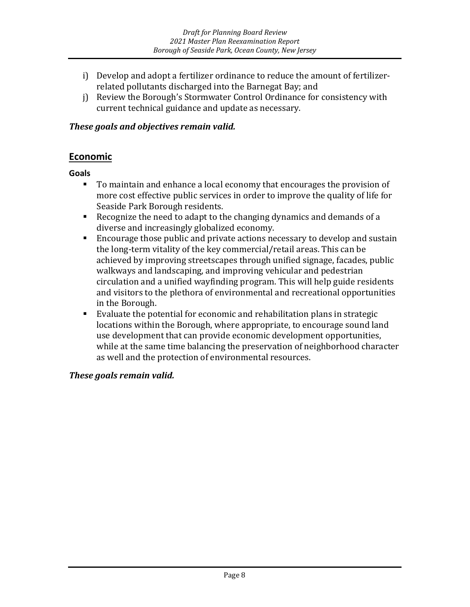- i) Develop and adopt a fertilizer ordinance to reduce the amount of fertilizerrelated pollutants discharged into the Barnegat Bay; and
- j) Review the Borough's Stormwater Control Ordinance for consistency with current technical guidance and update as necessary.

#### *These goals and objectives remain valid.*

#### **Economic**

**Goals**

- To maintain and enhance a local economy that encourages the provision of more cost effective public services in order to improve the quality of life for Seaside Park Borough residents.
- Recognize the need to adapt to the changing dynamics and demands of a diverse and increasingly globalized economy.
- **Encourage those public and private actions necessary to develop and sustain** the long-term vitality of the key commercial/retail areas. This can be achieved by improving streetscapes through unified signage, facades, public walkways and landscaping, and improving vehicular and pedestrian circulation and a unified wayfinding program. This will help guide residents and visitors to the plethora of environmental and recreational opportunities in the Borough.
- Evaluate the potential for economic and rehabilitation plans in strategic locations within the Borough, where appropriate, to encourage sound land use development that can provide economic development opportunities, while at the same time balancing the preservation of neighborhood character as well and the protection of environmental resources.

#### *These goals remain valid.*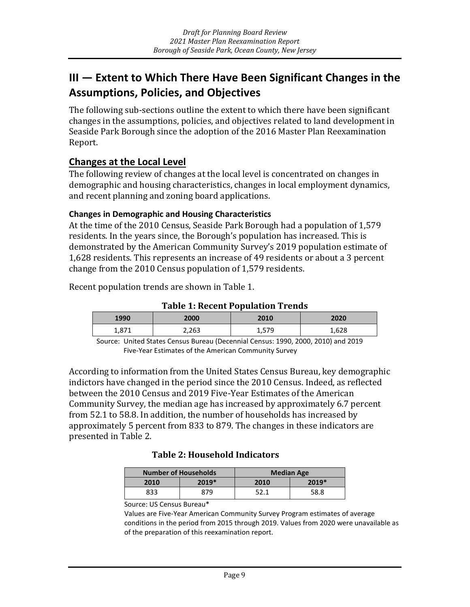# <span id="page-11-0"></span>**III — Extent to Which There Have Been Significant Changes in the Assumptions, Policies, and Objectives**

The following sub-sections outline the extent to which there have been significant changes in the assumptions, policies, and objectives related to land development in Seaside Park Borough since the adoption of the 2016 Master Plan Reexamination Report.

#### **Changes at the Local Level**

The following review of changes at the local level is concentrated on changes in demographic and housing characteristics, changes in local employment dynamics, and recent planning and zoning board applications.

#### **Changes in Demographic and Housing Characteristics**

At the time of the 2010 Census, Seaside Park Borough had a population of 1,579 residents. In the years since, the Borough's population has increased. This is demonstrated by the American Community Survey's 2019 population estimate of 1,628 residents. This represents an increase of 49 residents or about a 3 percent change from the 2010 Census population of 1,579 residents.

Recent population trends are shown in Table 1.

**Table 1: Recent Population Trends**

| 1990  | 2000  | 2010            | 2020  |
|-------|-------|-----------------|-------|
| 1,871 | 2,263 | 579<br>⊂ / د ,⊥ | 1,628 |

Source: United States Census Bureau (Decennial Census: 1990, 2000, 2010) and 2019 Five-Year Estimates of the American Community Survey

According to information from the United States Census Bureau, key demographic indictors have changed in the period since the 2010 Census. Indeed, as reflected between the 2010 Census and 2019 Five-Year Estimates of the American Community Survey, the median age has increased by approximately 6.7 percent from 52.1 to 58.8. In addition, the number of households has increased by approximately 5 percent from 833 to 879. The changes in these indicators are presented in Table 2.

#### **Table 2: Household Indicators**

| <b>Number of Households</b> |       | <b>Median Age</b> |       |  |
|-----------------------------|-------|-------------------|-------|--|
| 2010                        | 2019* | 2010              | 2019* |  |
| 833                         | 879   | 52.1              | 58.8  |  |

#### Source: US Census Bureau\*

Values are Five-Year American Community Survey Program estimates of average conditions in the period from 2015 through 2019. Values from 2020 were unavailable as of the preparation of this reexamination report.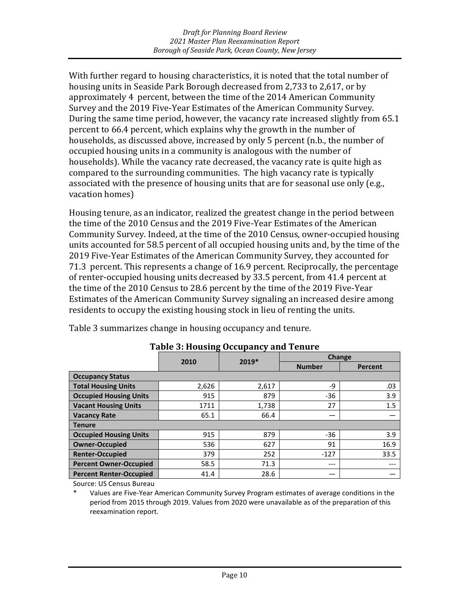With further regard to housing characteristics, it is noted that the total number of housing units in Seaside Park Borough decreased from 2,733 to 2,617, or by approximately 4 percent, between the time of the 2014 American Community Survey and the 2019 Five-Year Estimates of the American Community Survey. During the same time period, however, the vacancy rate increased slightly from 65.1 percent to 66.4 percent, which explains why the growth in the number of households, as discussed above, increased by only 5 percent (n.b., the number of occupied housing units in a community is analogous with the number of households). While the vacancy rate decreased, the vacancy rate is quite high as compared to the surrounding communities. The high vacancy rate is typically associated with the presence of housing units that are for seasonal use only (e.g., vacation homes)

Housing tenure, as an indicator, realized the greatest change in the period between the time of the 2010 Census and the 2019 Five-Year Estimates of the American Community Survey. Indeed, at the time of the 2010 Census, owner-occupied housing units accounted for 58.5 percent of all occupied housing units and, by the time of the 2019 Five-Year Estimates of the American Community Survey, they accounted for 71.3 percent. This represents a change of 16.9 percent. Reciprocally, the percentage of renter-occupied housing units decreased by 33.5 percent, from 41.4 percent at the time of the 2010 Census to 28.6 percent by the time of the 2019 Five-Year Estimates of the American Community Survey signaling an increased desire among residents to occupy the existing housing stock in lieu of renting the units.

| Table 3: Housing Occupancy and Tenure |       |       |               |         |  |
|---------------------------------------|-------|-------|---------------|---------|--|
|                                       | 2019* |       | <b>Change</b> |         |  |
|                                       | 2010  |       | <b>Number</b> | Percent |  |
| <b>Occupancy Status</b>               |       |       |               |         |  |
| <b>Total Housing Units</b>            | 2,626 | 2,617 | $-9$          | .03     |  |
| <b>Occupied Housing Units</b>         | 915   | 879   | -36           | 3.9     |  |
| <b>Vacant Housing Units</b>           | 1711  | 1,738 | 27            | 1.5     |  |
| <b>Vacancy Rate</b>                   | 65.1  | 66.4  |               |         |  |
| <b>Tenure</b>                         |       |       |               |         |  |
| <b>Occupied Housing Units</b>         | 915   | 879   | -36           | 3.9     |  |
| <b>Owner-Occupied</b>                 | 536   | 627   | 91            | 16.9    |  |
| <b>Renter-Occupied</b>                | 379   | 252   | $-127$        | 33.5    |  |
| <b>Percent Owner-Occupied</b>         | 58.5  | 71.3  | $---$         | ---     |  |
| <b>Percent Renter-Occupied</b>        | 41.4  | 28.6  |               |         |  |

**Table 3: Housing Occupancy and Tenure**

Table 3 summarizes change in housing occupancy and tenure.

Source: US Census Bureau

Values are Five-Year American Community Survey Program estimates of average conditions in the period from 2015 through 2019. Values from 2020 were unavailable as of the preparation of this reexamination report.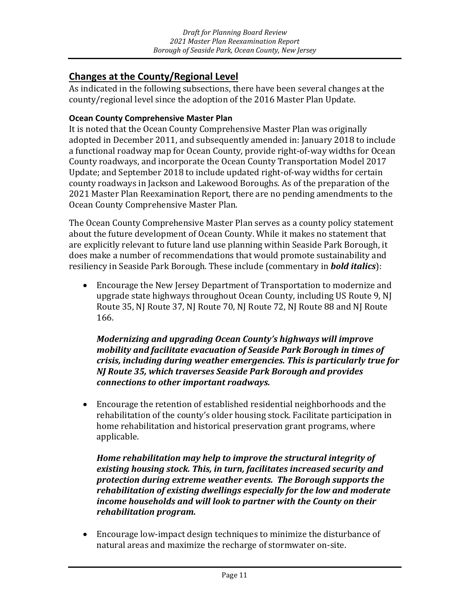#### **Changes at the County/Regional Level**

As indicated in the following subsections, there have been several changes at the county/regional level since the adoption of the 2016 Master Plan Update.

#### **Ocean County Comprehensive Master Plan**

It is noted that the Ocean County Comprehensive Master Plan was originally adopted in December 2011, and subsequently amended in: January 2018 to include a functional roadway map for Ocean County, provide right-of-way widths for Ocean County roadways, and incorporate the Ocean County Transportation Model 2017 Update; and September 2018 to include updated right-of-way widths for certain county roadways in Jackson and Lakewood Boroughs. As of the preparation of the 2021 Master Plan Reexamination Report, there are no pending amendments to the Ocean County Comprehensive Master Plan.

The Ocean County Comprehensive Master Plan serves as a county policy statement about the future development of Ocean County. While it makes no statement that are explicitly relevant to future land use planning within Seaside Park Borough, it does make a number of recommendations that would promote sustainability and resiliency in Seaside Park Borough. These include (commentary in *bold italics*):

• Encourage the New Jersey Department of Transportation to modernize and upgrade state highways throughout Ocean County, including US Route 9, NJ Route 35, NJ Route 37, NJ Route 70, NJ Route 72, NJ Route 88 and NJ Route 166.

*Modernizing and upgrading Ocean County's highways will improve mobility and facilitate evacuation of Seaside Park Borough in times of crisis, including during weather emergencies. This is particularly true for NJ Route 35, which traverses Seaside Park Borough and provides connections to other important roadways.*

• Encourage the retention of established residential neighborhoods and the rehabilitation of the county's older housing stock. Facilitate participation in home rehabilitation and historical preservation grant programs, where applicable.

*Home rehabilitation may help to improve the structural integrity of existing housing stock. This, in turn, facilitates increased security and protection during extreme weather events. The Borough supports the rehabilitation of existing dwellings especially for the low and moderate income households and will look to partner with the County on their rehabilitation program.*

• Encourage low-impact design techniques to minimize the disturbance of natural areas and maximize the recharge of stormwater on-site.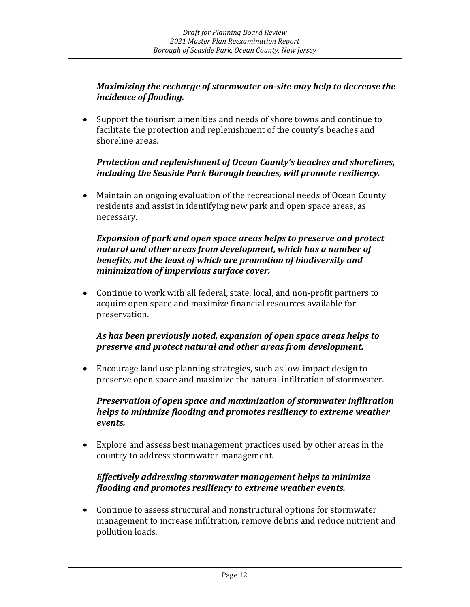#### *Maximizing the recharge of stormwater on-site may help to decrease the incidence of flooding.*

• Support the tourism amenities and needs of shore towns and continue to facilitate the protection and replenishment of the county's beaches and shoreline areas.

#### *Protection and replenishment of Ocean County's beaches and shorelines, including the Seaside Park Borough beaches, will promote resiliency.*

• Maintain an ongoing evaluation of the recreational needs of Ocean County residents and assist in identifying new park and open space areas, as necessary.

#### *Expansion of park and open space areas helps to preserve and protect natural and other areas from development, which has a number of benefits, not the least of which are promotion of biodiversity and minimization of impervious surface cover.*

• Continue to work with all federal, state, local, and non-profit partners to acquire open space and maximize financial resources available for preservation.

#### *As has been previously noted, expansion of open space areas helps to preserve and protect natural and other areas from development.*

• Encourage land use planning strategies, such as low-impact design to preserve open space and maximize the natural infiltration of stormwater.

#### *Preservation of open space and maximization of stormwater infiltration helps to minimize flooding and promotes resiliency to extreme weather events.*

• Explore and assess best management practices used by other areas in the country to address stormwater management.

#### *Effectively addressing stormwater management helps to minimize flooding and promotes resiliency to extreme weather events.*

• Continue to assess structural and nonstructural options for stormwater management to increase infiltration, remove debris and reduce nutrient and pollution loads.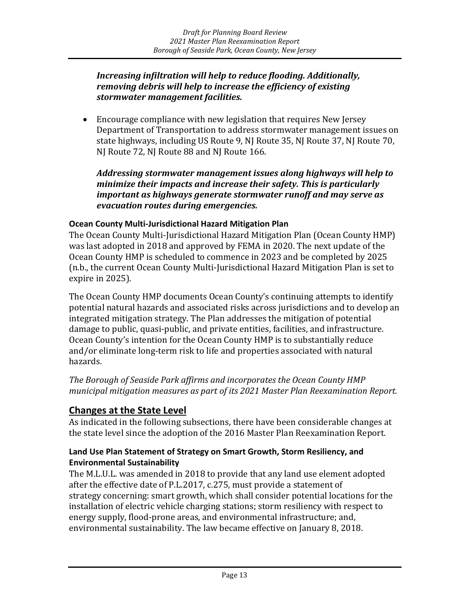#### *Increasing infiltration will help to reduce flooding. Additionally, removing debris will help to increase the efficiency of existing stormwater management facilities.*

• Encourage compliance with new legislation that requires New Jersey Department of Transportation to address stormwater management issues on state highways, including US Route 9, NJ Route 35, NJ Route 37, NJ Route 70, NJ Route 72, NJ Route 88 and NJ Route 166.

*Addressing stormwater management issues along highways will help to minimize their impacts and increase their safety. This is particularly important as highways generate stormwater runoff and may serve as evacuation routes during emergencies.*

#### **Ocean County Multi-Jurisdictional Hazard Mitigation Plan**

The Ocean County Multi-Jurisdictional Hazard Mitigation Plan (Ocean County HMP) was last adopted in 2018 and approved by FEMA in 2020. The next update of the Ocean County HMP is scheduled to commence in 2023 and be completed by 2025 (n.b., the current Ocean County Multi-Jurisdictional Hazard Mitigation Plan is set to expire in 2025).

The Ocean County HMP documents Ocean County's continuing attempts to identify potential natural hazards and associated risks across jurisdictions and to develop an integrated mitigation strategy. The Plan addresses the mitigation of potential damage to public, quasi-public, and private entities, facilities, and infrastructure. Ocean County's intention for the Ocean County HMP is to substantially reduce and/or eliminate long-term risk to life and properties associated with natural hazards.

*The Borough of Seaside Park affirms and incorporates the Ocean County HMP municipal mitigation measures as part of its 2021 Master Plan Reexamination Report.*

#### **Changes at the State Level**

As indicated in the following subsections, there have been considerable changes at the state level since the adoption of the 2016 Master Plan Reexamination Report.

#### **Land Use Plan Statement of Strategy on Smart Growth, Storm Resiliency, and Environmental Sustainability**

The M.L.U.L. was amended in 2018 to provide that any land use element adopted after the effective date of P.L.2017, c.275, must provide a statement of strategy concerning: smart growth, which shall consider potential locations for the installation of electric vehicle charging stations; storm resiliency with respect to energy supply, flood-prone areas, and environmental infrastructure; and, environmental sustainability. The law became effective on January 8, 2018.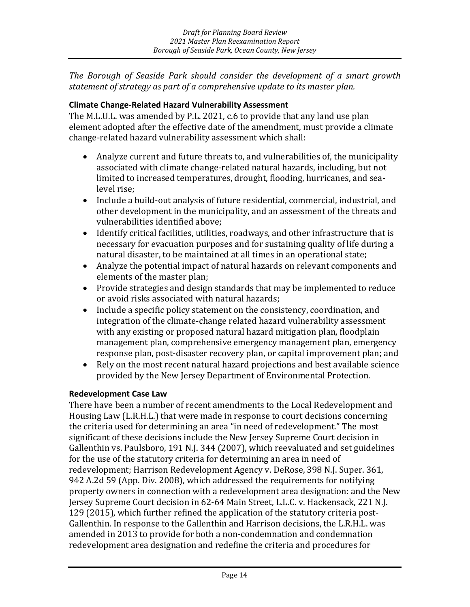*The Borough of Seaside Park should consider the development of a smart growth statement of strategy as part of a comprehensive update to its master plan.*

#### **Climate Change-Related Hazard Vulnerability Assessment**

The M.L.U.L. was amended by P.L. 2021, c.6 to provide that any land use plan element adopted after the effective date of the amendment, must provide a climate change-related hazard vulnerability assessment which shall:

- Analyze current and future threats to, and vulnerabilities of, the municipality associated with climate change-related natural hazards, including, but not limited to increased temperatures, drought, flooding, hurricanes, and sealevel rise;
- Include a build-out analysis of future residential, commercial, industrial, and other development in the municipality, and an assessment of the threats and vulnerabilities identified above;
- Identify critical facilities, utilities, roadways, and other infrastructure that is necessary for evacuation purposes and for sustaining quality of life during a natural disaster, to be maintained at all times in an operational state;
- Analyze the potential impact of natural hazards on relevant components and elements of the master plan;
- Provide strategies and design standards that may be implemented to reduce or avoid risks associated with natural hazards;
- Include a specific policy statement on the consistency, coordination, and integration of the climate-change related hazard vulnerability assessment with any existing or proposed natural hazard mitigation plan, floodplain management plan, comprehensive emergency management plan, emergency response plan, post-disaster recovery plan, or capital improvement plan; and
- Rely on the most recent natural hazard projections and best available science provided by the New Jersey Department of Environmental Protection.

#### **Redevelopment Case Law**

There have been a number of recent amendments to the Local Redevelopment and Housing Law (L.R.H.L.) that were made in response to court decisions concerning the criteria used for determining an area "in need of redevelopment." The most significant of these decisions include the New Jersey Supreme Court decision in Gallenthin vs. Paulsboro, 191 N.J. 344 (2007), which reevaluated and set guidelines for the use of the statutory criteria for determining an area in need of redevelopment; Harrison Redevelopment Agency v. DeRose, 398 N.J. Super. 361, 942 A.2d 59 (App. Div. 2008), which addressed the requirements for notifying property owners in connection with a redevelopment area designation: and the New Jersey Supreme Court decision in 62-64 Main Street, L.L.C. v. Hackensack, 221 N.J. 129 (2015), which further refined the application of the statutory criteria post-Gallenthin. In response to the Gallenthin and Harrison decisions, the L.R.H.L. was amended in 2013 to provide for both a non-condemnation and condemnation redevelopment area designation and redefine the criteria and procedures for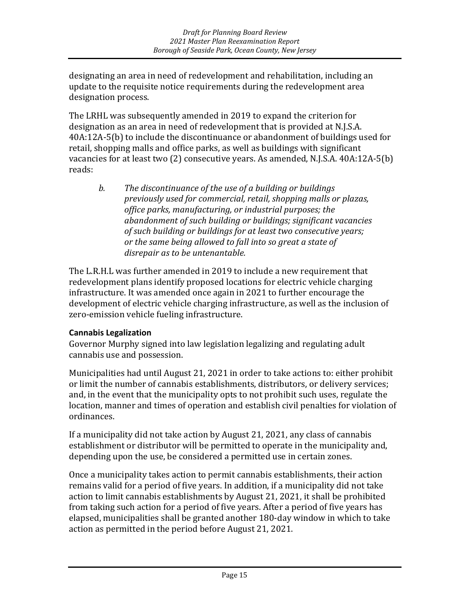designating an area in need of redevelopment and rehabilitation, including an update to the requisite notice requirements during the redevelopment area designation process.

The LRHL was subsequently amended in 2019 to expand the criterion for designation as an area in need of redevelopment that is provided at N.J.S.A. 40A:12A-5(b) to include the discontinuance or abandonment of buildings used for retail, shopping malls and office parks, as well as buildings with significant vacancies for at least two (2) consecutive years. As amended, N.J.S.A. 40A:12A-5(b) reads:

*b. The discontinuance of the use of a building or buildings previously used for commercial, retail, shopping malls or plazas, office parks, manufacturing, or industrial purposes; the abandonment of such building or buildings; significant vacancies of such building or buildings for at least two consecutive years; or the same being allowed to fall into so great a state of disrepair as to be untenantable.*

The L.R.H.L was further amended in 2019 to include a new requirement that redevelopment plans identify proposed locations for electric vehicle charging infrastructure. It was amended once again in 2021 to further encourage the development of electric vehicle charging infrastructure, as well as the inclusion of zero-emission vehicle fueling infrastructure.

#### **Cannabis Legalization**

Governor Murphy signed into law legislation legalizing and regulating adult cannabis use and possession.

Municipalities had until August 21, 2021 in order to take actions to: either prohibit or limit the number of cannabis establishments, distributors, or delivery services; and, in the event that the municipality opts to not prohibit such uses, regulate the location, manner and times of operation and establish civil penalties for violation of ordinances.

If a municipality did not take action by August 21, 2021, any class of cannabis establishment or distributor will be permitted to operate in the municipality and, depending upon the use, be considered a permitted use in certain zones.

Once a municipality takes action to permit cannabis establishments, their action remains valid for a period of five years. In addition, if a municipality did not take action to limit cannabis establishments by August 21, 2021, it shall be prohibited from taking such action for a period of five years. After a period of five years has elapsed, municipalities shall be granted another 180-day window in which to take action as permitted in the period before August 21, 2021.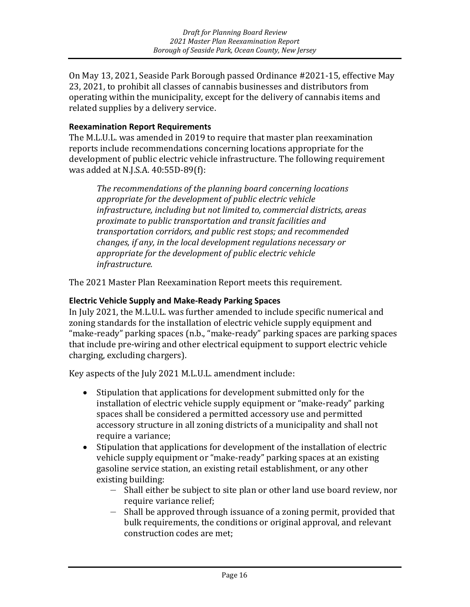On May 13, 2021, Seaside Park Borough passed Ordinance #2021-15, effective May 23, 2021, to prohibit all classes of cannabis businesses and distributors from operating within the municipality, except for the delivery of cannabis items and related supplies by a delivery service.

#### **Reexamination Report Requirements**

The M.L.U.L. was amended in 2019 to require that master plan reexamination reports include recommendations concerning locations appropriate for the development of public electric vehicle infrastructure. The following requirement was added at N.J.S.A. 40:55D-89(f):

*The recommendations of the planning board concerning locations appropriate for the development of public electric vehicle infrastructure, including but not limited to, commercial districts, areas proximate to public transportation and transit facilities and transportation corridors, and public rest stops; and recommended changes, if any, in the local development regulations necessary or appropriate for the development of public electric vehicle infrastructure.* 

The 2021 Master Plan Reexamination Report meets this requirement.

#### **Electric Vehicle Supply and Make-Ready Parking Spaces**

In July 2021, the M.L.U.L. was further amended to include specific numerical and zoning standards for the installation of electric vehicle supply equipment and "make-ready" parking spaces (n.b., "make-ready" parking spaces are parking spaces that include pre-wiring and other electrical equipment to support electric vehicle charging, excluding chargers).

Key aspects of the July 2021 M.L.U.L. amendment include:

- Stipulation that applications for development submitted only for the installation of electric vehicle supply equipment or "make-ready" parking spaces shall be considered a permitted accessory use and permitted accessory structure in all zoning districts of a municipality and shall not require a variance;
- Stipulation that applications for development of the installation of electric vehicle supply equipment or "make-ready" parking spaces at an existing gasoline service station, an existing retail establishment, or any other existing building:
	- Shall either be subject to site plan or other land use board review, nor require variance relief;
	- Shall be approved through issuance of a zoning permit, provided that bulk requirements, the conditions or original approval, and relevant construction codes are met;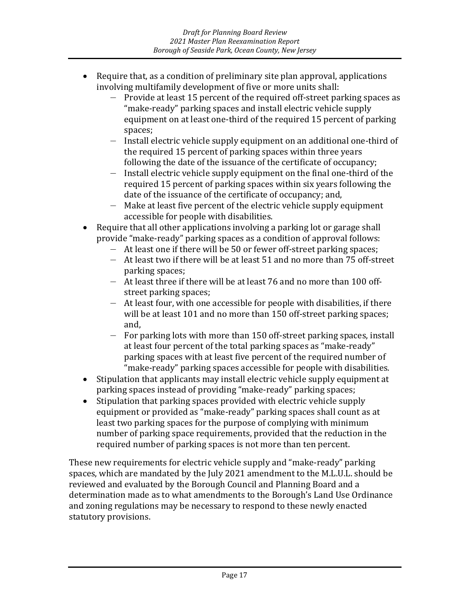- Require that, as a condition of preliminary site plan approval, applications involving multifamily development of five or more units shall:
	- Provide at least 15 percent of the required off-street parking spaces as "make-ready" parking spaces and install electric vehicle supply equipment on at least one-third of the required 15 percent of parking spaces;
	- Install electric vehicle supply equipment on an additional one-third of the required 15 percent of parking spaces within three years following the date of the issuance of the certificate of occupancy;
	- Install electric vehicle supply equipment on the final one-third of the required 15 percent of parking spaces within six years following the date of the issuance of the certificate of occupancy; and,
	- Make at least five percent of the electric vehicle supply equipment accessible for people with disabilities.
- Require that all other applications involving a parking lot or garage shall provide "make-ready" parking spaces as a condition of approval follows:
	- At least one if there will be 50 or fewer off-street parking spaces;
	- At least two if there will be at least 51 and no more than 75 off-street parking spaces;
	- At least three if there will be at least 76 and no more than 100 offstreet parking spaces;
	- At least four, with one accessible for people with disabilities, if there will be at least 101 and no more than 150 off-street parking spaces; and,
	- For parking lots with more than 150 off-street parking spaces, install at least four percent of the total parking spaces as "make-ready" parking spaces with at least five percent of the required number of "make-ready" parking spaces accessible for people with disabilities.
- Stipulation that applicants may install electric vehicle supply equipment at parking spaces instead of providing "make-ready" parking spaces;
- Stipulation that parking spaces provided with electric vehicle supply equipment or provided as "make-ready" parking spaces shall count as at least two parking spaces for the purpose of complying with minimum number of parking space requirements, provided that the reduction in the required number of parking spaces is not more than ten percent.

These new requirements for electric vehicle supply and "make-ready" parking spaces, which are mandated by the July 2021 amendment to the M.L.U.L. should be reviewed and evaluated by the Borough Council and Planning Board and a determination made as to what amendments to the Borough's Land Use Ordinance and zoning regulations may be necessary to respond to these newly enacted statutory provisions.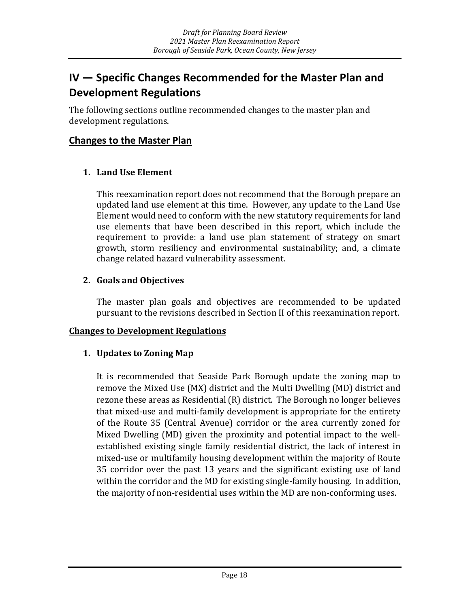# <span id="page-20-0"></span>**IV — Specific Changes Recommended for the Master Plan and Development Regulations**

The following sections outline recommended changes to the master plan and development regulations.

#### **Changes to the Master Plan**

#### **1. Land Use Element**

This reexamination report does not recommend that the Borough prepare an updated land use element at this time. However, any update to the Land Use Element would need to conform with the new statutory requirements for land use elements that have been described in this report, which include the requirement to provide: a land use plan statement of strategy on smart growth, storm resiliency and environmental sustainability; and, a climate change related hazard vulnerability assessment.

#### **2. Goals and Objectives**

The master plan goals and objectives are recommended to be updated pursuant to the revisions described in Section II of this reexamination report.

#### **Changes to Development Regulations**

#### **1. Updates to Zoning Map**

It is recommended that Seaside Park Borough update the zoning map to remove the Mixed Use (MX) district and the Multi Dwelling (MD) district and rezone these areas as Residential (R) district. The Borough no longer believes that mixed-use and multi-family development is appropriate for the entirety of the Route 35 (Central Avenue) corridor or the area currently zoned for Mixed Dwelling (MD) given the proximity and potential impact to the wellestablished existing single family residential district, the lack of interest in mixed-use or multifamily housing development within the majority of Route 35 corridor over the past 13 years and the significant existing use of land within the corridor and the MD for existing single-family housing. In addition, the majority of non-residential uses within the MD are non-conforming uses.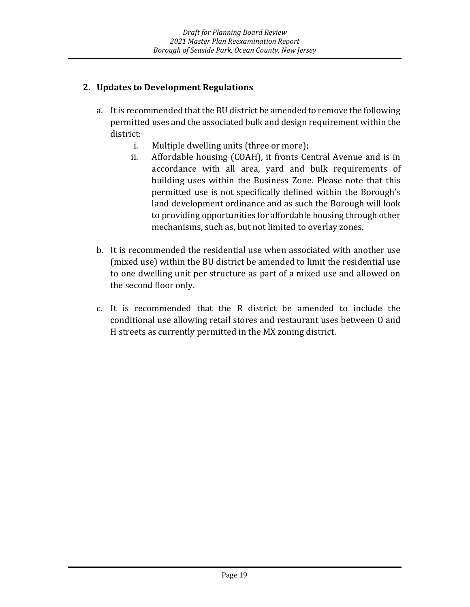#### **2. Updates to Development Regulations**

- a. It is recommended that the BU district be amended to remove the following permitted uses and the associated bulk and design requirement within the district:
	- i. Multiple dwelling units (three or more);<br>ii. Affordable housing (COAH), it fronts Ce
	- Affordable housing (COAH), it fronts Central Avenue and is in accordance with all area, yard and bulk requirements of building uses within the Business Zone. Please note that this permitted use is not specifically defined within the Borough's land development ordinance and as such the Borough will look to providing opportunities for affordable housing through other mechanisms, such as, but not limited to overlay zones.
- b. It is recommended the residential use when associated with another use (mixed use) within the BU district be amended to limit the residential use to one dwelling unit per structure as part of a mixed use and allowed on the second floor only.
- c. It is recommended that the R district be amended to include the conditional use allowing retail stores and restaurant uses between O and H streets as currently permitted in the MX zoning district.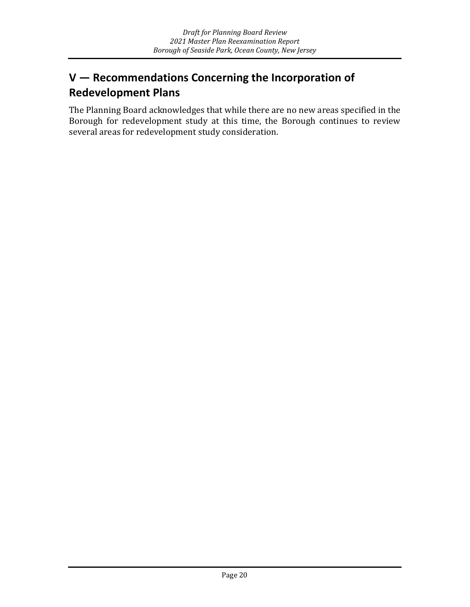# <span id="page-22-0"></span>**V — Recommendations Concerning the Incorporation of Redevelopment Plans**

The Planning Board acknowledges that while there are no new areas specified in the Borough for redevelopment study at this time, the Borough continues to review several areas for redevelopment study consideration.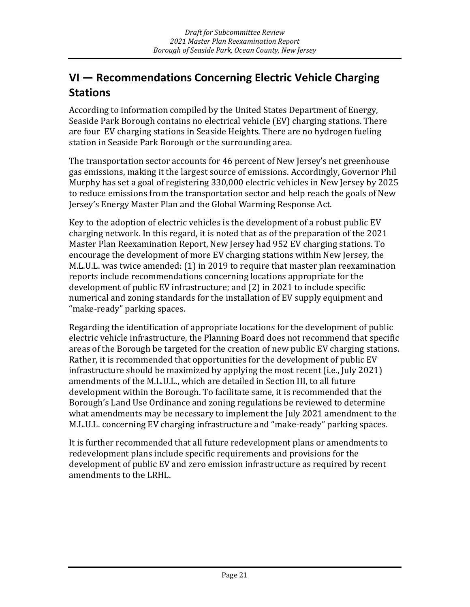# <span id="page-23-0"></span>**VI — Recommendations Concerning Electric Vehicle Charging Stations**

According to information compiled by the United States Department of Energy, Seaside Park Borough contains no electrical vehicle (EV) charging stations. There are four EV charging stations in Seaside Heights. There are no hydrogen fueling station in Seaside Park Borough or the surrounding area.

The transportation sector accounts for 46 percent of New Jersey's net greenhouse gas emissions, making it the largest source of emissions. Accordingly, Governor Phil Murphy has set a goal of registering 330,000 electric vehicles in New Jersey by 2025 to reduce emissions from the transportation sector and help reach the goals of New Jersey's Energy Master Plan and the Global Warming Response Act.

Key to the adoption of electric vehicles is the development of a robust public EV charging network. In this regard, it is noted that as of the preparation of the 2021 Master Plan Reexamination Report, New Jersey had 952 EV charging stations. To encourage the development of more EV charging stations within New Jersey, the M.L.U.L. was twice amended: (1) in 2019 to require that master plan reexamination reports include recommendations concerning locations appropriate for the development of public EV infrastructure; and (2) in 2021 to include specific numerical and zoning standards for the installation of EV supply equipment and "make-ready" parking spaces.

Regarding the identification of appropriate locations for the development of public electric vehicle infrastructure, the Planning Board does not recommend that specific areas of the Borough be targeted for the creation of new public EV charging stations. Rather, it is recommended that opportunities for the development of public EV infrastructure should be maximized by applying the most recent (i.e., July 2021) amendments of the M.L.U.L., which are detailed in Section III, to all future development within the Borough. To facilitate same, it is recommended that the Borough's Land Use Ordinance and zoning regulations be reviewed to determine what amendments may be necessary to implement the July 2021 amendment to the M.L.U.L. concerning EV charging infrastructure and "make-ready" parking spaces.

It is further recommended that all future redevelopment plans or amendments to redevelopment plans include specific requirements and provisions for the development of public EV and zero emission infrastructure as required by recent amendments to the LRHL.